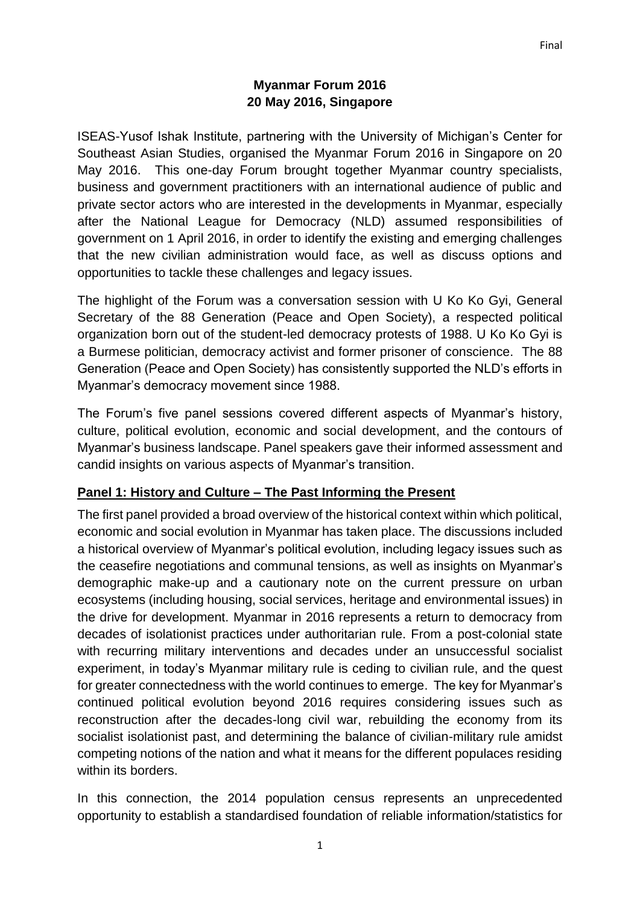### **Myanmar Forum 2016 20 May 2016, Singapore**

ISEAS-Yusof Ishak Institute, partnering with the University of Michigan's Center for Southeast Asian Studies, organised the Myanmar Forum 2016 in Singapore on 20 May 2016. This one-day Forum brought together Myanmar country specialists, business and government practitioners with an international audience of public and private sector actors who are interested in the developments in Myanmar, especially after the National League for Democracy (NLD) assumed responsibilities of government on 1 April 2016, in order to identify the existing and emerging challenges that the new civilian administration would face, as well as discuss options and opportunities to tackle these challenges and legacy issues.

The highlight of the Forum was a conversation session with U Ko Ko Gyi, General Secretary of the 88 Generation (Peace and Open Society), a respected political organization born out of the student-led democracy protests of 1988. U Ko Ko Gyi is a Burmese politician, democracy activist and former prisoner of conscience. The 88 Generation (Peace and Open Society) has consistently supported the NLD's efforts in Myanmar's democracy movement since 1988.

The Forum's five panel sessions covered different aspects of Myanmar's history, culture, political evolution, economic and social development, and the contours of Myanmar's business landscape. Panel speakers gave their informed assessment and candid insights on various aspects of Myanmar's transition.

## **Panel 1: History and Culture – The Past Informing the Present**

The first panel provided a broad overview of the historical context within which political, economic and social evolution in Myanmar has taken place. The discussions included a historical overview of Myanmar's political evolution, including legacy issues such as the ceasefire negotiations and communal tensions, as well as insights on Myanmar's demographic make-up and a cautionary note on the current pressure on urban ecosystems (including housing, social services, heritage and environmental issues) in the drive for development. Myanmar in 2016 represents a return to democracy from decades of isolationist practices under authoritarian rule. From a post-colonial state with recurring military interventions and decades under an unsuccessful socialist experiment, in today's Myanmar military rule is ceding to civilian rule, and the quest for greater connectedness with the world continues to emerge. The key for Myanmar's continued political evolution beyond 2016 requires considering issues such as reconstruction after the decades-long civil war, rebuilding the economy from its socialist isolationist past, and determining the balance of civilian-military rule amidst competing notions of the nation and what it means for the different populaces residing within its borders.

In this connection, the 2014 population census represents an unprecedented opportunity to establish a standardised foundation of reliable information/statistics for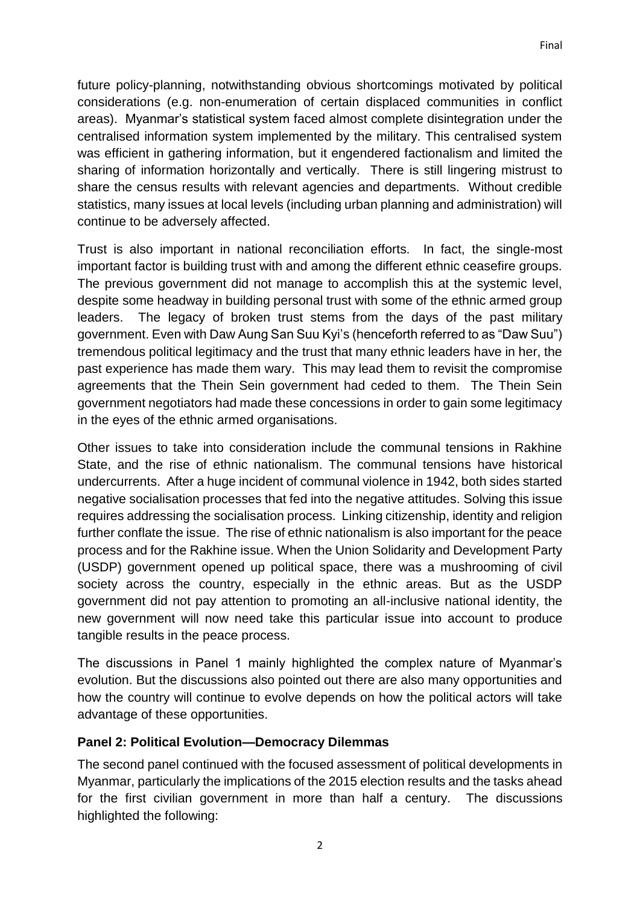future policy-planning, notwithstanding obvious shortcomings motivated by political considerations (e.g. non-enumeration of certain displaced communities in conflict areas). Myanmar's statistical system faced almost complete disintegration under the centralised information system implemented by the military. This centralised system was efficient in gathering information, but it engendered factionalism and limited the sharing of information horizontally and vertically. There is still lingering mistrust to share the census results with relevant agencies and departments. Without credible statistics, many issues at local levels (including urban planning and administration) will continue to be adversely affected.

Trust is also important in national reconciliation efforts. In fact, the single-most important factor is building trust with and among the different ethnic ceasefire groups. The previous government did not manage to accomplish this at the systemic level, despite some headway in building personal trust with some of the ethnic armed group leaders. The legacy of broken trust stems from the days of the past military government. Even with Daw Aung San Suu Kyi's (henceforth referred to as "Daw Suu") tremendous political legitimacy and the trust that many ethnic leaders have in her, the past experience has made them wary. This may lead them to revisit the compromise agreements that the Thein Sein government had ceded to them. The Thein Sein government negotiators had made these concessions in order to gain some legitimacy in the eyes of the ethnic armed organisations.

Other issues to take into consideration include the communal tensions in Rakhine State, and the rise of ethnic nationalism. The communal tensions have historical undercurrents. After a huge incident of communal violence in 1942, both sides started negative socialisation processes that fed into the negative attitudes. Solving this issue requires addressing the socialisation process. Linking citizenship, identity and religion further conflate the issue. The rise of ethnic nationalism is also important for the peace process and for the Rakhine issue. When the Union Solidarity and Development Party (USDP) government opened up political space, there was a mushrooming of civil society across the country, especially in the ethnic areas. But as the USDP government did not pay attention to promoting an all-inclusive national identity, the new government will now need take this particular issue into account to produce tangible results in the peace process.

The discussions in Panel 1 mainly highlighted the complex nature of Myanmar's evolution. But the discussions also pointed out there are also many opportunities and how the country will continue to evolve depends on how the political actors will take advantage of these opportunities.

## **Panel 2: Political Evolution—Democracy Dilemmas**

The second panel continued with the focused assessment of political developments in Myanmar, particularly the implications of the 2015 election results and the tasks ahead for the first civilian government in more than half a century. The discussions highlighted the following: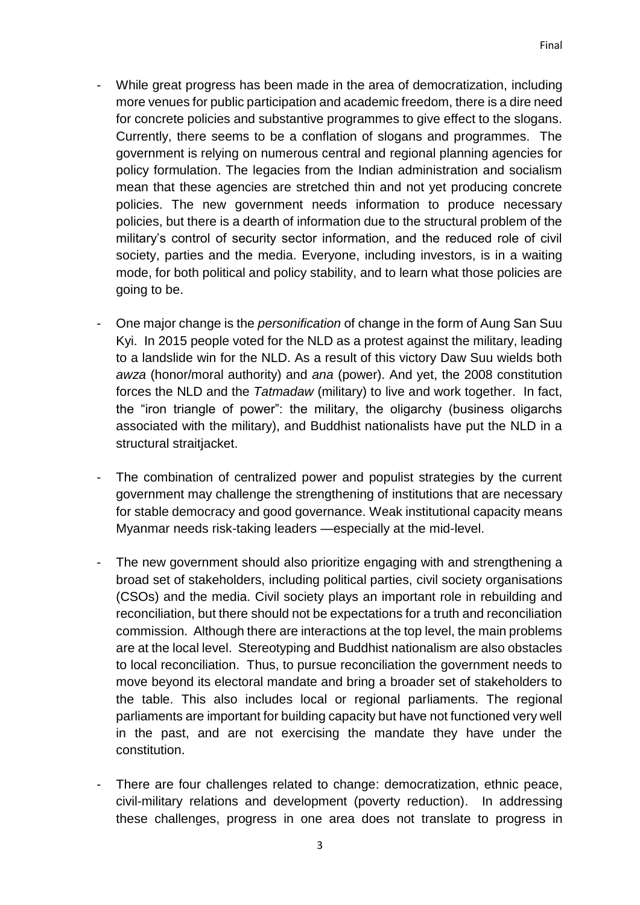- While great progress has been made in the area of democratization, including more venues for public participation and academic freedom, there is a dire need for concrete policies and substantive programmes to give effect to the slogans. Currently, there seems to be a conflation of slogans and programmes. The government is relying on numerous central and regional planning agencies for policy formulation. The legacies from the Indian administration and socialism mean that these agencies are stretched thin and not yet producing concrete policies. The new government needs information to produce necessary policies, but there is a dearth of information due to the structural problem of the military's control of security sector information, and the reduced role of civil society, parties and the media. Everyone, including investors, is in a waiting mode, for both political and policy stability, and to learn what those policies are going to be.
- One major change is the *personification* of change in the form of Aung San Suu Kyi. In 2015 people voted for the NLD as a protest against the military, leading to a landslide win for the NLD. As a result of this victory Daw Suu wields both *awza* (honor/moral authority) and *ana* (power). And yet, the 2008 constitution forces the NLD and the *Tatmadaw* (military) to live and work together. In fact, the "iron triangle of power": the military, the oligarchy (business oligarchs associated with the military), and Buddhist nationalists have put the NLD in a structural straitiacket.
- The combination of centralized power and populist strategies by the current government may challenge the strengthening of institutions that are necessary for stable democracy and good governance. Weak institutional capacity means Myanmar needs risk-taking leaders —especially at the mid-level.
- The new government should also prioritize engaging with and strengthening a broad set of stakeholders, including political parties, civil society organisations (CSOs) and the media. Civil society plays an important role in rebuilding and reconciliation, but there should not be expectations for a truth and reconciliation commission. Although there are interactions at the top level, the main problems are at the local level. Stereotyping and Buddhist nationalism are also obstacles to local reconciliation. Thus, to pursue reconciliation the government needs to move beyond its electoral mandate and bring a broader set of stakeholders to the table. This also includes local or regional parliaments. The regional parliaments are important for building capacity but have not functioned very well in the past, and are not exercising the mandate they have under the constitution.
- There are four challenges related to change: democratization, ethnic peace, civil-military relations and development (poverty reduction). In addressing these challenges, progress in one area does not translate to progress in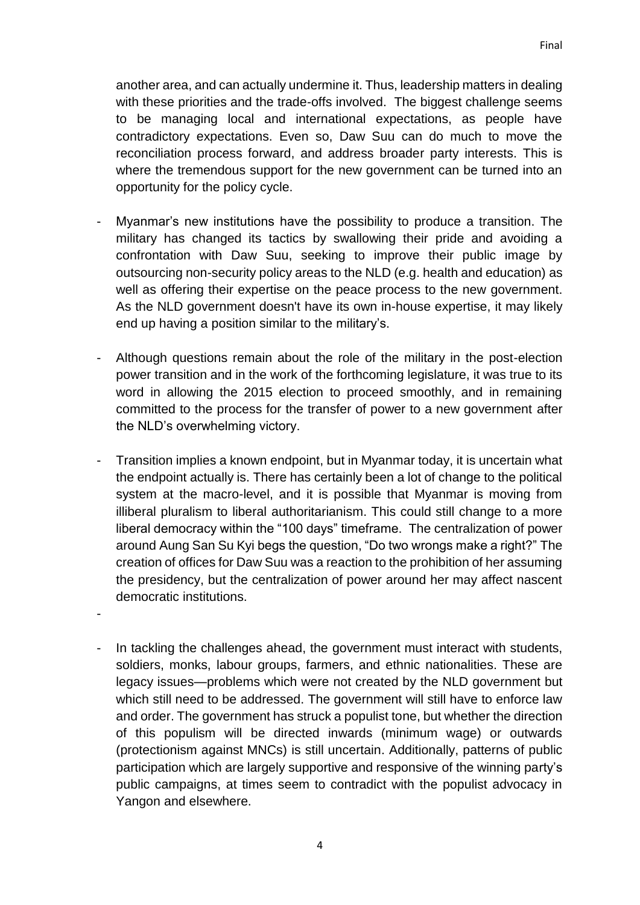another area, and can actually undermine it. Thus, leadership matters in dealing with these priorities and the trade-offs involved. The biggest challenge seems to be managing local and international expectations, as people have contradictory expectations. Even so, Daw Suu can do much to move the reconciliation process forward, and address broader party interests. This is where the tremendous support for the new government can be turned into an opportunity for the policy cycle.

- Myanmar's new institutions have the possibility to produce a transition. The military has changed its tactics by swallowing their pride and avoiding a confrontation with Daw Suu, seeking to improve their public image by outsourcing non-security policy areas to the NLD (e.g. health and education) as well as offering their expertise on the peace process to the new government. As the NLD government doesn't have its own in-house expertise, it may likely end up having a position similar to the military's.
- Although questions remain about the role of the military in the post-election power transition and in the work of the forthcoming legislature, it was true to its word in allowing the 2015 election to proceed smoothly, and in remaining committed to the process for the transfer of power to a new government after the NLD's overwhelming victory.
- Transition implies a known endpoint, but in Myanmar today, it is uncertain what the endpoint actually is. There has certainly been a lot of change to the political system at the macro-level, and it is possible that Myanmar is moving from illiberal pluralism to liberal authoritarianism. This could still change to a more liberal democracy within the "100 days" timeframe. The centralization of power around Aung San Su Kyi begs the question, "Do two wrongs make a right?" The creation of offices for Daw Suu was a reaction to the prohibition of her assuming the presidency, but the centralization of power around her may affect nascent democratic institutions.

-

In tackling the challenges ahead, the government must interact with students, soldiers, monks, labour groups, farmers, and ethnic nationalities. These are legacy issues—problems which were not created by the NLD government but which still need to be addressed. The government will still have to enforce law and order. The government has struck a populist tone, but whether the direction of this populism will be directed inwards (minimum wage) or outwards (protectionism against MNCs) is still uncertain. Additionally, patterns of public participation which are largely supportive and responsive of the winning party's public campaigns, at times seem to contradict with the populist advocacy in Yangon and elsewhere.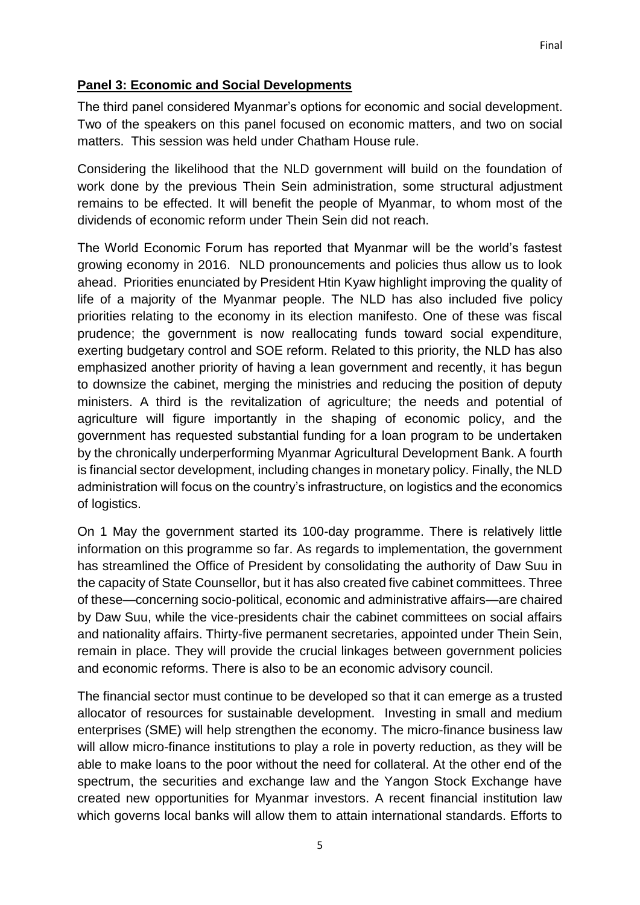# **Panel 3: Economic and Social Developments**

The third panel considered Myanmar's options for economic and social development. Two of the speakers on this panel focused on economic matters, and two on social matters. This session was held under Chatham House rule.

Considering the likelihood that the NLD government will build on the foundation of work done by the previous Thein Sein administration, some structural adjustment remains to be effected. It will benefit the people of Myanmar, to whom most of the dividends of economic reform under Thein Sein did not reach.

The World Economic Forum has reported that Myanmar will be the world's fastest growing economy in 2016. NLD pronouncements and policies thus allow us to look ahead. Priorities enunciated by President Htin Kyaw highlight improving the quality of life of a majority of the Myanmar people. The NLD has also included five policy priorities relating to the economy in its election manifesto. One of these was fiscal prudence; the government is now reallocating funds toward social expenditure, exerting budgetary control and SOE reform. Related to this priority, the NLD has also emphasized another priority of having a lean government and recently, it has begun to downsize the cabinet, merging the ministries and reducing the position of deputy ministers. A third is the revitalization of agriculture; the needs and potential of agriculture will figure importantly in the shaping of economic policy, and the government has requested substantial funding for a loan program to be undertaken by the chronically underperforming Myanmar Agricultural Development Bank. A fourth is financial sector development, including changes in monetary policy. Finally, the NLD administration will focus on the country's infrastructure, on logistics and the economics of logistics.

On 1 May the government started its 100-day programme. There is relatively little information on this programme so far. As regards to implementation, the government has streamlined the Office of President by consolidating the authority of Daw Suu in the capacity of State Counsellor, but it has also created five cabinet committees. Three of these—concerning socio-political, economic and administrative affairs—are chaired by Daw Suu, while the vice-presidents chair the cabinet committees on social affairs and nationality affairs. Thirty-five permanent secretaries, appointed under Thein Sein, remain in place. They will provide the crucial linkages between government policies and economic reforms. There is also to be an economic advisory council.

The financial sector must continue to be developed so that it can emerge as a trusted allocator of resources for sustainable development. Investing in small and medium enterprises (SME) will help strengthen the economy. The micro-finance business law will allow micro-finance institutions to play a role in poverty reduction, as they will be able to make loans to the poor without the need for collateral. At the other end of the spectrum, the securities and exchange law and the Yangon Stock Exchange have created new opportunities for Myanmar investors. A recent financial institution law which governs local banks will allow them to attain international standards. Efforts to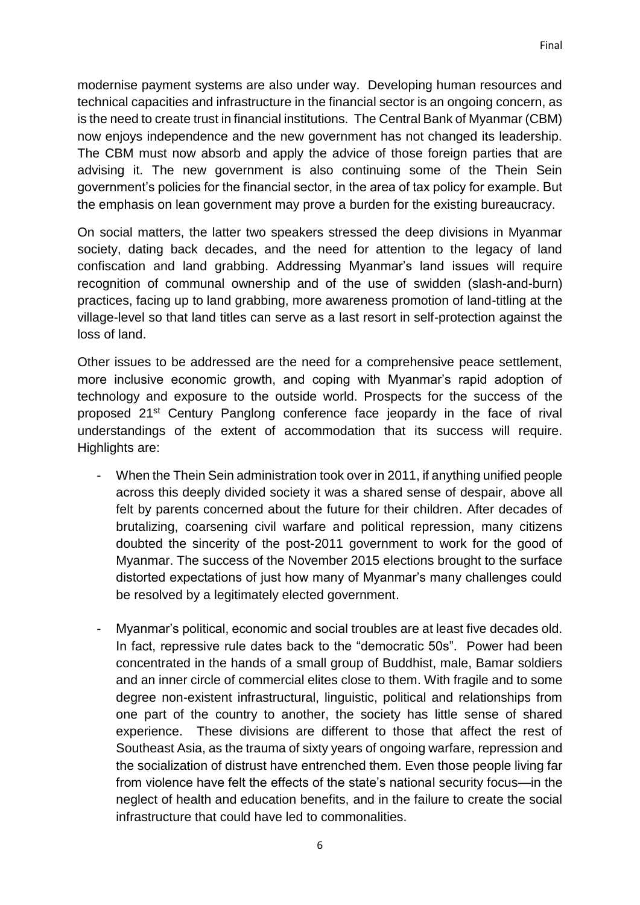modernise payment systems are also under way. Developing human resources and technical capacities and infrastructure in the financial sector is an ongoing concern, as is the need to create trust in financial institutions. The Central Bank of Myanmar (CBM) now enjoys independence and the new government has not changed its leadership. The CBM must now absorb and apply the advice of those foreign parties that are advising it. The new government is also continuing some of the Thein Sein government's policies for the financial sector, in the area of tax policy for example. But the emphasis on lean government may prove a burden for the existing bureaucracy.

On social matters, the latter two speakers stressed the deep divisions in Myanmar society, dating back decades, and the need for attention to the legacy of land confiscation and land grabbing. Addressing Myanmar's land issues will require recognition of communal ownership and of the use of swidden (slash-and-burn) practices, facing up to land grabbing, more awareness promotion of land-titling at the village-level so that land titles can serve as a last resort in self-protection against the loss of land.

Other issues to be addressed are the need for a comprehensive peace settlement, more inclusive economic growth, and coping with Myanmar's rapid adoption of technology and exposure to the outside world. Prospects for the success of the proposed 21<sup>st</sup> Century Panglong conference face jeopardy in the face of rival understandings of the extent of accommodation that its success will require. Highlights are:

- When the Thein Sein administration took over in 2011, if anything unified people across this deeply divided society it was a shared sense of despair, above all felt by parents concerned about the future for their children. After decades of brutalizing, coarsening civil warfare and political repression, many citizens doubted the sincerity of the post-2011 government to work for the good of Myanmar. The success of the November 2015 elections brought to the surface distorted expectations of just how many of Myanmar's many challenges could be resolved by a legitimately elected government.
- Myanmar's political, economic and social troubles are at least five decades old. In fact, repressive rule dates back to the "democratic 50s". Power had been concentrated in the hands of a small group of Buddhist, male, Bamar soldiers and an inner circle of commercial elites close to them. With fragile and to some degree non-existent infrastructural, linguistic, political and relationships from one part of the country to another, the society has little sense of shared experience. These divisions are different to those that affect the rest of Southeast Asia, as the trauma of sixty years of ongoing warfare, repression and the socialization of distrust have entrenched them. Even those people living far from violence have felt the effects of the state's national security focus—in the neglect of health and education benefits, and in the failure to create the social infrastructure that could have led to commonalities.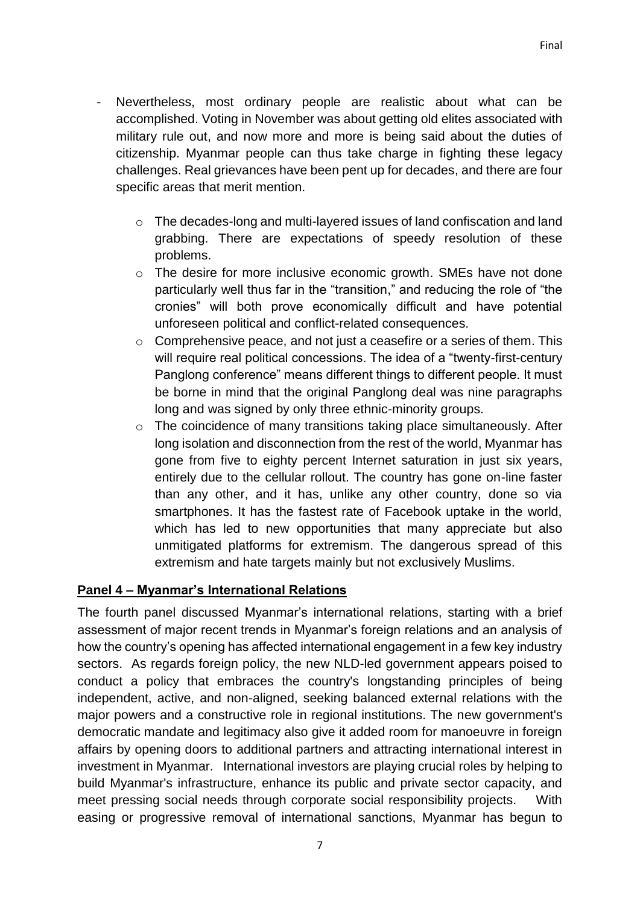- Nevertheless, most ordinary people are realistic about what can be accomplished. Voting in November was about getting old elites associated with military rule out, and now more and more is being said about the duties of citizenship. Myanmar people can thus take charge in fighting these legacy challenges. Real grievances have been pent up for decades, and there are four specific areas that merit mention.
	- o The decades-long and multi-layered issues of land confiscation and land grabbing. There are expectations of speedy resolution of these problems.
	- o The desire for more inclusive economic growth. SMEs have not done particularly well thus far in the "transition," and reducing the role of "the cronies" will both prove economically difficult and have potential unforeseen political and conflict-related consequences.
	- o Comprehensive peace, and not just a ceasefire or a series of them. This will require real political concessions. The idea of a "twenty-first-century Panglong conference" means different things to different people. It must be borne in mind that the original Panglong deal was nine paragraphs long and was signed by only three ethnic-minority groups.
	- o The coincidence of many transitions taking place simultaneously. After long isolation and disconnection from the rest of the world, Myanmar has gone from five to eighty percent Internet saturation in just six years, entirely due to the cellular rollout. The country has gone on-line faster than any other, and it has, unlike any other country, done so via smartphones. It has the fastest rate of Facebook uptake in the world, which has led to new opportunities that many appreciate but also unmitigated platforms for extremism. The dangerous spread of this extremism and hate targets mainly but not exclusively Muslims.

## **Panel 4 – Myanmar's International Relations**

The fourth panel discussed Myanmar's international relations, starting with a brief assessment of major recent trends in Myanmar's foreign relations and an analysis of how the country's opening has affected international engagement in a few key industry sectors. As regards foreign policy, the new NLD-led government appears poised to conduct a policy that embraces the country's longstanding principles of being independent, active, and non-aligned, seeking balanced external relations with the major powers and a constructive role in regional institutions. The new government's democratic mandate and legitimacy also give it added room for manoeuvre in foreign affairs by opening doors to additional partners and attracting international interest in investment in Myanmar. International investors are playing crucial roles by helping to build Myanmar's infrastructure, enhance its public and private sector capacity, and meet pressing social needs through corporate social responsibility projects. With easing or progressive removal of international sanctions, Myanmar has begun to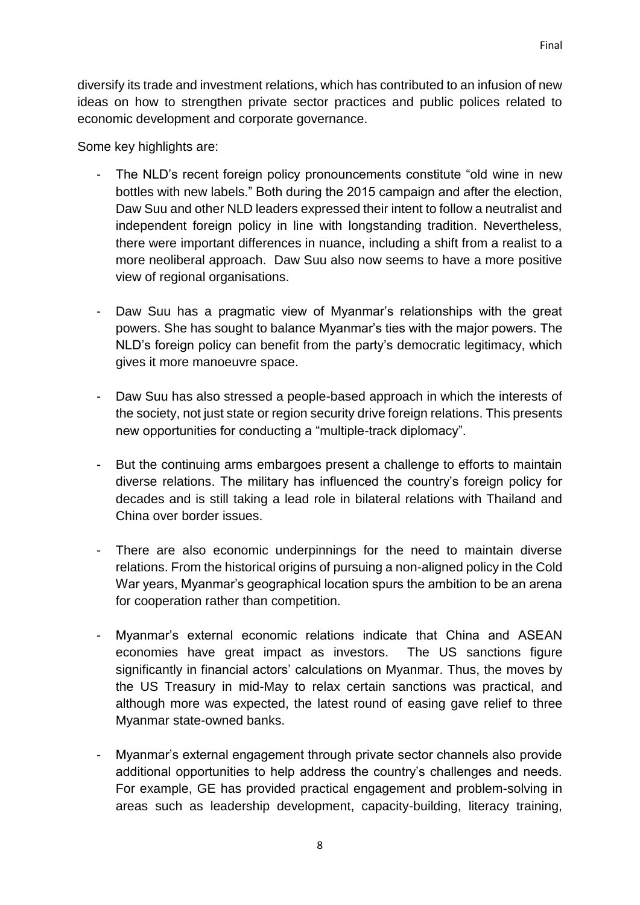diversify its trade and investment relations, which has contributed to an infusion of new ideas on how to strengthen private sector practices and public polices related to economic development and corporate governance.

Some key highlights are:

- The NLD's recent foreign policy pronouncements constitute "old wine in new bottles with new labels." Both during the 2015 campaign and after the election, Daw Suu and other NLD leaders expressed their intent to follow a neutralist and independent foreign policy in line with longstanding tradition. Nevertheless, there were important differences in nuance, including a shift from a realist to a more neoliberal approach. Daw Suu also now seems to have a more positive view of regional organisations.
- Daw Suu has a pragmatic view of Myanmar's relationships with the great powers. She has sought to balance Myanmar's ties with the major powers. The NLD's foreign policy can benefit from the party's democratic legitimacy, which gives it more manoeuvre space.
- Daw Suu has also stressed a people-based approach in which the interests of the society, not just state or region security drive foreign relations. This presents new opportunities for conducting a "multiple-track diplomacy".
- But the continuing arms embargoes present a challenge to efforts to maintain diverse relations. The military has influenced the country's foreign policy for decades and is still taking a lead role in bilateral relations with Thailand and China over border issues.
- There are also economic underpinnings for the need to maintain diverse relations. From the historical origins of pursuing a non-aligned policy in the Cold War years, Myanmar's geographical location spurs the ambition to be an arena for cooperation rather than competition.
- Myanmar's external economic relations indicate that China and ASEAN economies have great impact as investors. The US sanctions figure significantly in financial actors' calculations on Myanmar. Thus, the moves by the US Treasury in mid-May to relax certain sanctions was practical, and although more was expected, the latest round of easing gave relief to three Myanmar state-owned banks.
- Myanmar's external engagement through private sector channels also provide additional opportunities to help address the country's challenges and needs. For example, GE has provided practical engagement and problem-solving in areas such as leadership development, capacity-building, literacy training,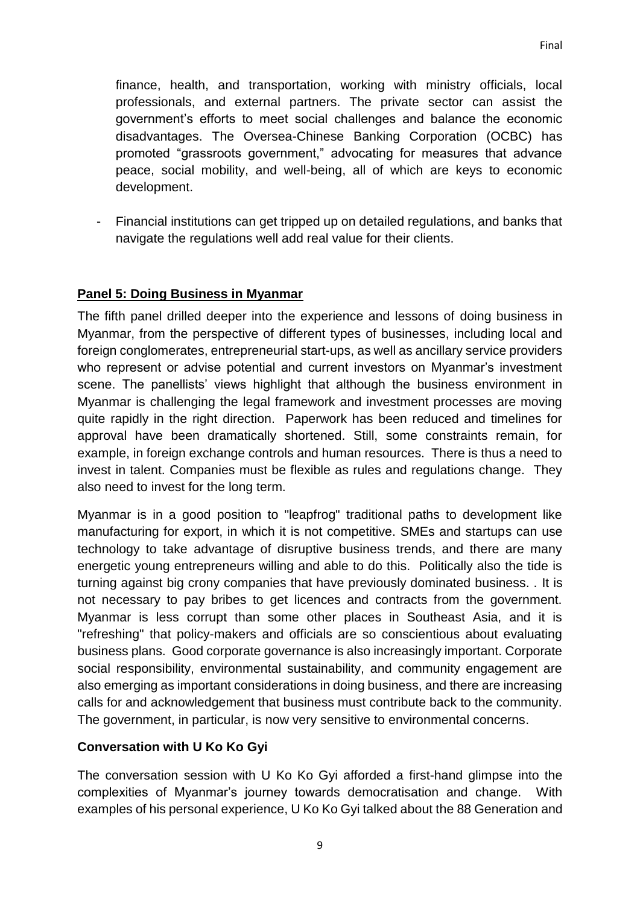finance, health, and transportation, working with ministry officials, local professionals, and external partners. The private sector can assist the government's efforts to meet social challenges and balance the economic disadvantages. The Oversea-Chinese Banking Corporation (OCBC) has promoted "grassroots government," advocating for measures that advance peace, social mobility, and well-being, all of which are keys to economic development.

- Financial institutions can get tripped up on detailed regulations, and banks that navigate the regulations well add real value for their clients.

## **Panel 5: Doing Business in Myanmar**

The fifth panel drilled deeper into the experience and lessons of doing business in Myanmar, from the perspective of different types of businesses, including local and foreign conglomerates, entrepreneurial start-ups, as well as ancillary service providers who represent or advise potential and current investors on Myanmar's investment scene. The panellists' views highlight that although the business environment in Myanmar is challenging the legal framework and investment processes are moving quite rapidly in the right direction. Paperwork has been reduced and timelines for approval have been dramatically shortened. Still, some constraints remain, for example, in foreign exchange controls and human resources. There is thus a need to invest in talent. Companies must be flexible as rules and regulations change. They also need to invest for the long term.

Myanmar is in a good position to "leapfrog" traditional paths to development like manufacturing for export, in which it is not competitive. SMEs and startups can use technology to take advantage of disruptive business trends, and there are many energetic young entrepreneurs willing and able to do this. Politically also the tide is turning against big crony companies that have previously dominated business. . It is not necessary to pay bribes to get licences and contracts from the government. Myanmar is less corrupt than some other places in Southeast Asia, and it is "refreshing" that policy-makers and officials are so conscientious about evaluating business plans. Good corporate governance is also increasingly important. Corporate social responsibility, environmental sustainability, and community engagement are also emerging as important considerations in doing business, and there are increasing calls for and acknowledgement that business must contribute back to the community. The government, in particular, is now very sensitive to environmental concerns.

## **Conversation with U Ko Ko Gyi**

The conversation session with U Ko Ko Gyi afforded a first-hand glimpse into the complexities of Myanmar's journey towards democratisation and change. With examples of his personal experience, U Ko Ko Gyi talked about the 88 Generation and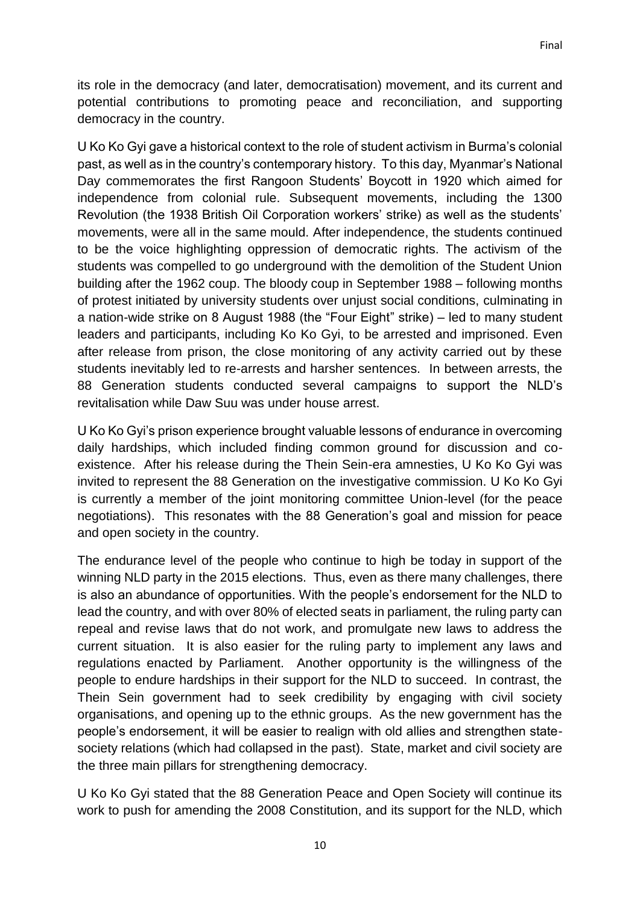its role in the democracy (and later, democratisation) movement, and its current and potential contributions to promoting peace and reconciliation, and supporting democracy in the country.

U Ko Ko Gyi gave a historical context to the role of student activism in Burma's colonial past, as well as in the country's contemporary history. To this day, Myanmar's National Day commemorates the first Rangoon Students' Boycott in 1920 which aimed for independence from colonial rule. Subsequent movements, including the 1300 Revolution (the 1938 British Oil Corporation workers' strike) as well as the students' movements, were all in the same mould. After independence, the students continued to be the voice highlighting oppression of democratic rights. The activism of the students was compelled to go underground with the demolition of the Student Union building after the 1962 coup. The bloody coup in September 1988 – following months of protest initiated by university students over unjust social conditions, culminating in a nation-wide strike on 8 August 1988 (the "Four Eight" strike) – led to many student leaders and participants, including Ko Ko Gyi, to be arrested and imprisoned. Even after release from prison, the close monitoring of any activity carried out by these students inevitably led to re-arrests and harsher sentences. In between arrests, the 88 Generation students conducted several campaigns to support the NLD's revitalisation while Daw Suu was under house arrest.

U Ko Ko Gyi's prison experience brought valuable lessons of endurance in overcoming daily hardships, which included finding common ground for discussion and coexistence. After his release during the Thein Sein-era amnesties, U Ko Ko Gyi was invited to represent the 88 Generation on the investigative commission. U Ko Ko Gyi is currently a member of the joint monitoring committee Union-level (for the peace negotiations). This resonates with the 88 Generation's goal and mission for peace and open society in the country.

The endurance level of the people who continue to high be today in support of the winning NLD party in the 2015 elections. Thus, even as there many challenges, there is also an abundance of opportunities. With the people's endorsement for the NLD to lead the country, and with over 80% of elected seats in parliament, the ruling party can repeal and revise laws that do not work, and promulgate new laws to address the current situation. It is also easier for the ruling party to implement any laws and regulations enacted by Parliament. Another opportunity is the willingness of the people to endure hardships in their support for the NLD to succeed. In contrast, the Thein Sein government had to seek credibility by engaging with civil society organisations, and opening up to the ethnic groups. As the new government has the people's endorsement, it will be easier to realign with old allies and strengthen statesociety relations (which had collapsed in the past). State, market and civil society are the three main pillars for strengthening democracy.

U Ko Ko Gyi stated that the 88 Generation Peace and Open Society will continue its work to push for amending the 2008 Constitution, and its support for the NLD, which